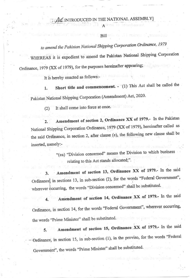#### **TAC INTRODUCED IN THE NATIONAL ASSEMBLY** Ailea

**Rill** 

## to amend the Pakistan National Shipping Corporation Ordinance, 1979

WHEREAS it is expedient to amend the Pakistan National Shipping Corporation

Ordinance, 1979 (XX of 1979), for the purposes hereinafter appearing;

It is hereby enacted as follows:-

Short title and commencement. - (1) This Act shall be called the 1. Pakistan National Shipping Corporation (Amendment) Act, 2020.

It shall come into force at once.  $(2)$ 

Amendment of section 2, Ordinance XX of 1979.- In the Pakistan  $2.$ National Shipping Corporation Ordinance, 1979 (XX of 1979), hereinafter called as the said Ordinance, in section 2, after clause (e), the following new clause shall be inserted, namely:-

> "(ea) "Division concerned" means the Division to which business relating to this Act stands allocated;".

Amendment of section 13, Ordinance XX of 1979.- In the said 3. Ordinance, in sections 13, in sub-section (2), for the words "Federal Government", wherever occurring, the words "Division concerned" shall be substituted.

Amendment of section 14, Ordinance XX of 1979.- In the said Ordinance, in section 14, for the words "Federal Government", wherever occurring, the words "Prime Minister" shall be substituted.

Amendment of section 15, Ordinance XX of 1979.- In the said Ordinance, in section 15, in sub-section (1), in the proviso, for the words "Federal Government", the words "Prime Minister" shall be substituted.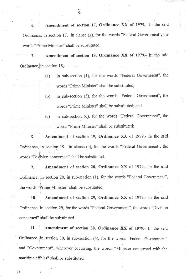6. Amendment of section 17, Ordinance XX of 1979.- In the said Ordinance, in section 17, in clause (g), for the words "Federal Government", the words "Prime Minister" shall be substituted.

7. Amendment of section 18, Ordinance XX of 1979.- In the said Ordinance, in section 18,-

- (a) in sub-section  $(1)$ , for the words "Federal Government", the words "Prime Minister" shall be substituted;
- (b) in sub-section (3), for the words "Federal Government", the words "Prime Minister" shall be substituted; and
- (c) in sub-section (6), for the words "Federal Government", the words "Prime Minister" shall be substituted;

3. Amendment of section 19, Ordinance XX of 1979.- In the said Ordinance, in section 19, in clause (a), for the words "Federal Government", the words "Division concerned" shall be substituted.

9. Amendment of section 20, Ordinance XX of 1979.- In the said Ordinance, in section 20, in sub-section  $(1)$ , for the words "Federal Government", the words "Prime Minister" shall be substituted.

10. Amendment of section 29, Ordinance XX of 1979.- In the said Ordinance, in section 29, for the words "Federal Government", the words "Division concemed" shall be substituted

11. Amendment of section 30, Ordinance XX of 1979.- In the said Ordinance, in section 30, in sub-section (4), for the words "Federal Government" and "Government", wherever occurring, the words "Minister concerned with the maritime affairs" shall be substituted.

21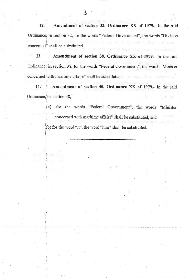12. Amendment of section 32, Ordinance XX of 1979.- In the said Ordinance, in section 32, for the words "Federal Government", the words "Division concerned" shall be substituted.

Amendment of section 38, Ordinance XX of 1979.- In the said 13. Ordinance, in section 38, for the words "Federal Government", the words "Minister concerned with maritime affairs" shall be substituted.

Amendment of section 40, Ordinance XX of 1979.- In the said 14. Ordinance, in section 40,-

> (a) for the words "Federal Government", the words "Minister concerned with maritime affairs" shall be substituted; and (b) for the word "it", the word "him" shall be substituted.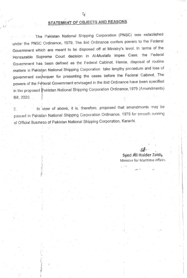### STATEMENT OF OBJECTS AND REASONS

The Pakistan National Shipping Corporation (PNSC) was established under the PNSC Ordinance, 1979. The ibid Ordinance confers powers to the Federal Government which are meant to be disposed off at Ministry's level. In terms of the Honourable Supreme Court decision in Al-Mustafa Impex Case, the Federal Government has been defined as the Federal Cabinet. Hence, disposal of routine matters in Pakistan National Shipping Corporation take lengthy procedure and loss of government exchequer for presenting the cases before the Federal Cabinet. The powers of the Federal Government envisaged in the ibid Ordinance have been specified in the proposed Pakistan National Shipping Corporation Ordinance, 1979 (Amendments) Bill, 2020.

In view of above, it is, therefore, proposed that amendments may be  $\overline{2}$ . passed in Pakistan National Shipping Corporation Ordinance, 1979 for smooth running of Official Business of Pakistan National Shipping Corporation, Karachi.

> Syed Ali Haider Zaidi, Minister for Maritime Affairs

 $\mathcal{A}_k$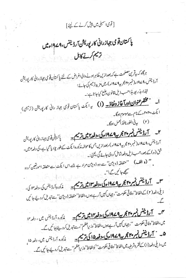## [ قوى اسمبلى ميں پيش كرنے كے ليئے]

# پاکستان قومی جهازرانی کارپوریشن آرڈیننس،۹۷۹۹ءمیں تريم كرنے كابل

ہرگاہ کہ بیقرین مصلحت ہے کہ بعدازیں خلاہر ہونے والی اغراض کے لئے پاکستان تو می جہاز رانی کار پوریشن آرڈینٹس،4۷-ام(نمبر ۲۰ مجر پی<sup>4</sup>۷-ام)، میں مزید ترمیم کی جائے؛ لہٰذا، بذریعہ ہذاحسب ذیل قانون دضع کیاجا تاہے:۔

ا۔ مست<mark>قر عنوان اورآغاز ونفاذ۔</mark> (I) یہ ایکٹ پاکستان قومی جہاز رائی کارپوریش (ترمیمی)<sub>.</sub> ایکٹ، ۲۰۲۰ءکےنام سے موسوم ہوگا۔ (٢) بيرفى الفورنافذ العمل ہوگا۔

۲۔ <del>آرڈیننس نمبر ۲۰ مجریہ ۱۹۷۹ء کی ،دفعہ ایمن ترسیم۔</del> پاکستان توی جہازرانی کارپ<sub>وریشن</sub> آرڈیننس،۹۷۹ء( نمبر۲۰ مجربیہ۱۹۷۹ء)،بعدازیں جس کا حوالہ مذکورہ ایکٹ کے طور پلادیا گیا ہے،کی دفعہ امیں، شق(ە) كے بعد، حسب ذيل دفعه شامل كردى جائے گى، يعني: يہ مستقى اللہ

'' (و الف) ''متعلقہ ڈویژن'' سے وہ ڈویژن مراد ہے جسے اس ایکٹ سے متعلقہ امورتغین کردہ ستھے جا ئیں گے :''۔

۳۔ <del>آرڈیننس نمبر ۴۴ مجربہ ۱۹۷۹ء کی،دفعہ ۱۳ میں ترسم کے</del> مذکورہ آرڈیننس کی،دفع<sup>ی</sup> ای، ذيلى دفعه(٢) كے الفاظ''وفاتی حكومت''، جہاں كہيں آرہےہوں،الفاظ''متعلقہ ڈویژن'' سے تبدیل كردیئے جا ئیں

میں <mark>آرڈیننس نمبر پہ جو یہ 1944ء کی،دفعہ کاشل ترسیم۔</mark> مذکورہ آرڈینس میں، دفعہ ۱۴ میں،الفاظ'وفاقی حکومت میں جہاں کہیں آرہےہوں،الفاظ'وزیراعظم''،سے تبدیل کردیئے ہا کیں گے۔ ۵۔ <u>' آرڈیننس نمبر ۴۴ مجریہ ۱۹۷۹ء کی، دفعہ ۱۵ کی ترمیم۔</u> میڈیورہ آرڈیننس میں، دفعہ ۱۵<sub>،</sub> میں، ذیلی دفعہ(۱) کے فقر ہثر طیبہ میں الفاظ' وفاقی حکومت'' کوالفاظ' وزیر اعظم'' سے تبدیل کردیئے جا ئیں گے۔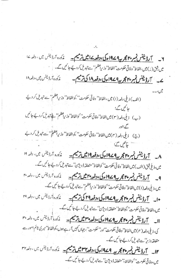۲۔ آرڈینٹس نمبر پوچھ ہے 19 کے وفعہ کے ایک ترتیم ہے ۔ مذکورہ آرڈینس میں ، دفعہ <sup>کے</sup> ا میں شق(ز) میں،الفاظ''وفاتی حکومت''الفاظ''وزیراعظم''سے تبدیل کردیجے جا کیں گے۔ ے۔ آرڈینٹس نمبر پہچ ہے 19 کے اوقعہ 14 کی ترمیم۔ نمکورہ آرڈینس میں،دفعہ ۱۸ (الف) ذيلي دفعه (ا) ميں ،الفاظ'' وفاقي حكومت''،كوالفاظ'' وزيراعظم'' سے تبديل كر ديجًے حائمیں گے؛ (ب) ذيلي دفعه (٣) ميں الفاظ' وفاقي حكومت'' كوالفاظ' وزيراعظم'' ﴾ تبديل كرديج جائميں گے ؛اور (ج) ذيلي دفعه (۴) ميں الفاظ'' وفاقي حكومت'' ،كوالفاظ'' وزيراعظم('' سے تبديل كر دئے حآئل گئے؛ ٨۔ آرڈینٹس نمبر پس کامجر پہ 1949ء کی ،دفعہ 19 میں ترسیم۔ نمکورہ اُرڈینس میں، دفعہ ١٩ میں،و پلی ثق (الف) میں الفاظ' وفا تی حکومت'' کوالفاظ' متعلقہ ڈویژن'' سے تنبدیل کردیئے جا ئمیں گے۔ 9۔ آرڈینٹس ٹمبر پیچ کے 19 کے ،دفعہ پیچ شکس تھے۔ مذکورہ آرڈینس میں ، دفعہ ہی میں،ذیلی دفعہ(۱) میںالفاظ' وفاتی حکومت' کوالفاظ' وزیراعظم'' سے تبدیل کردیجے جائیں گے۔ •ا۔ آرڈینٹس نمبر پہلامجر پہ<sup>4</sup> 19 اوکی ،دفعہ<sup>79</sup> کی ترسیم۔ نمکورہ آرڈینس میں ، دفعہ ۲۹ میں،الفاظ ُ وفا ٹی حکومت ٗ کوالفاظ ُ متعلقہ ڈویژن''سے تبدیل کردیجے جا تیں گے۔ ال \_ \_ \_ آرۋینٹس ٹیس**م پیم 2 کے 19 کوئی دفعہ پیم شریب ہے ۔** پر در دائردینس میں، دفعہ پیم كى، ذيلي دفعه ( ۴ ) ميں الفاظ' وفاقي حكومت' اور' حكومت''، جہاں کہيں آ رہے ہوں،كوالفاظ' مير كي ٹائم امور سے متعلقہ وزیر ہے تبدیل کردیجے جائیں گے۔

١٢\_ آرڈینٹس ٹیم پی کا مجربہ 1949ء کی،دفعہ ١٣ ثیل ترتیم۔ مذکورہ آرڈینس میں، دفعہ ٢٢ میں،وفاقی حکومت'' کوالفاظ،'متعلقہ ڈویژن'' سے تبدیل کردیجے جا ئیں گے۔